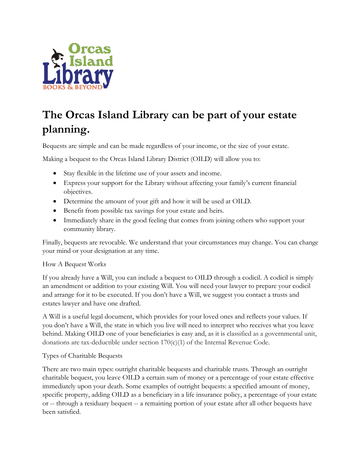

# **The Orcas Island Library can be part of your estate planning.**

Bequests are simple and can be made regardless of your income, or the size of your estate.

Making a bequest to the Orcas Island Library District (OILD) will allow you to:

- Stay flexible in the lifetime use of your assets and income.
- Express your support for the Library without affecting your family's current financial objectives.
- Determine the amount of your gift and how it will be used at OILD.
- Benefit from possible tax savings for your estate and heirs.
- Immediately share in the good feeling that comes from joining others who support your community library.

Finally, bequests are revocable. We understand that your circumstances may change. You can change your mind or your designation at any time.

# How A Bequest Works

If you already have a Will, you can include a bequest to OILD through a codicil. A codicil is simply an amendment or addition to your existing Will. You will need your lawyer to prepare your codicil and arrange for it to be executed. If you don't have a Will, we suggest you contact a trusts and estates lawyer and have one drafted.

A Will is a useful legal document, which provides for your loved ones and reflects your values. If you don't have a Will, the state in which you live will need to interpret who receives what you leave behind. Making OILD one of your beneficiaries is easy and, as it is classified as a governmental unit, donations are tax-deductible under section 170(c)(1) of the Internal Revenue Code.

# Types of Charitable Bequests

There are two main types: outright charitable bequests and charitable trusts. Through an outright charitable bequest, you leave OILD a certain sum of money or a percentage of your estate effective immediately upon your death. Some examples of outright bequests: a specified amount of money, specific property, adding OILD as a beneficiary in a life insurance policy, a percentage of your estate or -- through a residuary bequest -- a remaining portion of your estate after all other bequests have been satisfied.